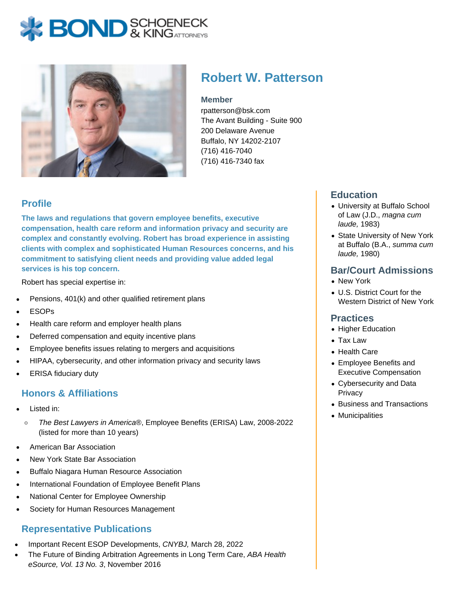# **BOND** & KINGATTORNECK



## **Robert W. Patterson**

#### **Member**

rpatterson@bsk.com The Avant Building - Suite 900 200 Delaware Avenue Buffalo, NY 14202-2107 (716) 416-7040 (716) 416-7340 fax

### **Profile**

**The laws and regulations that govern employee benefits, executive compensation, health care reform and information privacy and security are complex and constantly evolving. Robert has broad experience in assisting clients with complex and sophisticated Human Resources concerns, and his commitment to satisfying client needs and providing value added legal services is his top concern.**

Robert has special expertise in:

- Pensions, 401(k) and other qualified retirement plans
- ESOPs
- Health care reform and employer health plans
- Deferred compensation and equity incentive plans
- Employee benefits issues relating to mergers and acquisitions
- HIPAA, cybersecurity, and other information privacy and security laws
- ERISA fiduciary duty

#### **Honors & Affiliations**

- Listed in:
	- $\circ$ The Best Lawyers in America®, Employee Benefits (ERISA) Law, 2008-2022 (listed for more than 10 years)
- American Bar Association
- New York State Bar Association
- Buffalo Niagara Human Resource Association
- International Foundation of Employee Benefit Plans
- National Center for Employee Ownership
- Society for Human Resources Management

#### **Representative Publications**

- Important Recent ESOP Developments, CNYBJ, March 28, 2022
- The Future of Binding Arbitration Agreements in Long Term Care, ABA Health eSource, Vol. 13 No. 3, November 2016

#### **Education**

- University at Buffalo School of Law (J.D., magna cum laude, 1983)
- State University of New York at Buffalo (B.A., summa cum laude, 1980)

#### **Bar/Court Admissions**

- New York
- U.S. District Court for the Western District of New York

#### **Practices**

- Higher Education
- Tax Law
- Health Care
- Employee Benefits and Executive Compensation
- Cybersecurity and Data **Privacy**
- Business and Transactions
- Municipalities